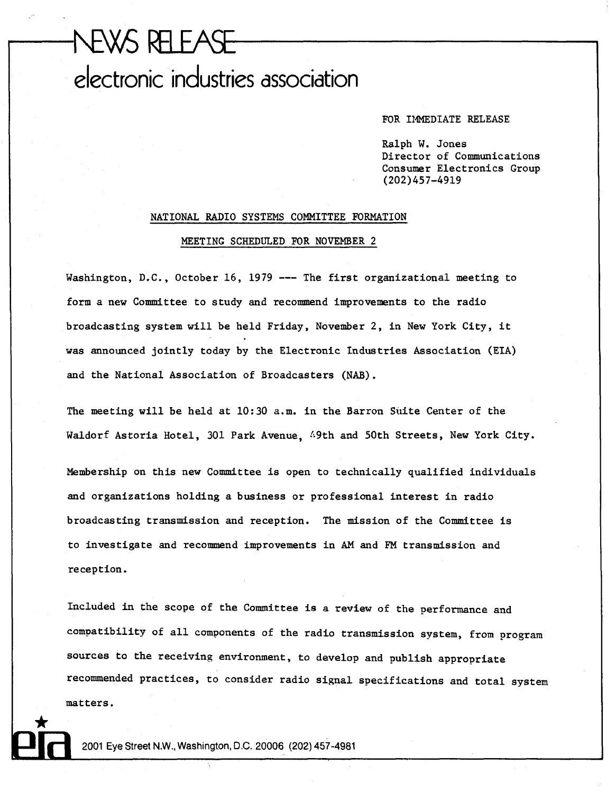## NEWS RELEASE electronic industries association

FOR IMMEDIATE RELEASE

Ralph W. Jones Director of Communications Consumer Electronics Group (202)457-4919

## NATIONAL RADIO SYSTEMS COMMITTEE FORMATION MEETING SCHEDULED FOR NOVEMBER 2

Washington, D.C., October 16, 1979 --- The first organizational meeting to form a new Committee to study and recommend improvements to the radio broadcasting system will be held Friday, November 2, in New York City, it was announced jointly today by the Electronic Industries Association (EIA) and the National Association of Broadcasters (NAB).

The meeting will be held at 10:30 a.m. in the Barron Suite Center of the Waldorf Astoria Hotel, 301 Park Avenue, 49th and 50th Streets, New York City.

Membership on this new Committee is open to technically qualified individuals and organizations holding a business or professional interest in radio broadcasting transmission and reception. The mission of the Committee is to investigate and recommend improvements in AM and FM transmission and reception.

Included in the scope of the Committee is a review of the performance and compatibility of all components of the radio transmission system, from program sources to the receiving environment, to develop and publish appropriate recommended practices, to consider radio signal specifications and total system matters.

2001 Eye Street N.W., Washington, D.C. 20006 (202) 457-4981